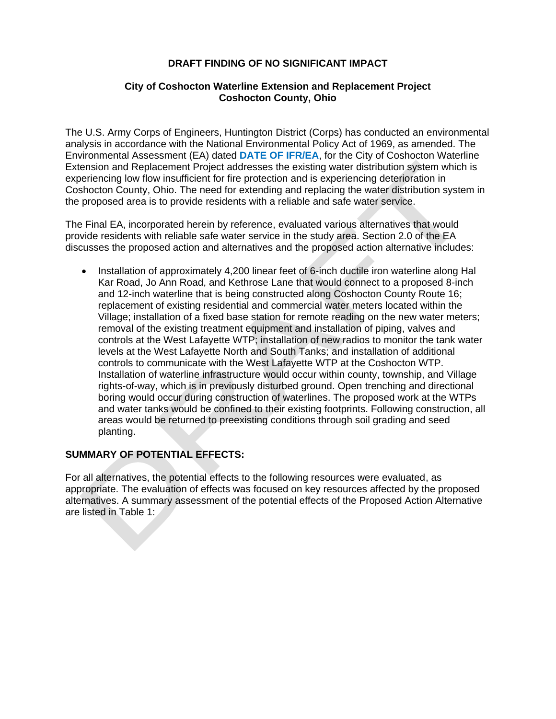## **DRAFT FINDING OF NO SIGNIFICANT IMPACT**

## **City of Coshocton Waterline Extension and Replacement Project Coshocton County, Ohio**

 Extension and Replacement Project addresses the existing water distribution system which is experiencing low flow insufficient for fire protection and is experiencing deterioration in The U.S. Army Corps of Engineers, Huntington District (Corps) has conducted an environmental analysis in accordance with the National Environmental Policy Act of 1969, as amended. The Environmental Assessment (EA) dated **DATE OF IFR/EA**, for the City of Coshocton Waterline Coshocton County, Ohio. The need for extending and replacing the water distribution system in the proposed area is to provide residents with a reliable and safe water service.

 The Final EA, incorporated herein by reference, evaluated various alternatives that would discusses the proposed action and alternatives and the proposed action alternative includes: provide residents with reliable safe water service in the study area. Section 2.0 of the EA

 Kar Road, Jo Ann Road, and Kethrose Lane that would connect to a proposed 8-inch replacement of existing residential and commercial water meters located within the Installation of approximately 4,200 linear feet of 6-inch ductile iron waterline along Hal and 12-inch waterline that is being constructed along Coshocton County Route 16; Village; installation of a fixed base station for remote reading on the new water meters; removal of the existing treatment equipment and installation of piping, valves and controls at the West Lafayette WTP; installation of new radios to monitor the tank water levels at the West Lafayette North and South Tanks; and installation of additional controls to communicate with the West Lafayette WTP at the Coshocton WTP. Installation of waterline infrastructure would occur within county, township, and Village rights-of-way, which is in previously disturbed ground. Open trenching and directional boring would occur during construction of waterlines. The proposed work at the WTPs and water tanks would be confined to their existing footprints. Following construction, all areas would be returned to preexisting conditions through soil grading and seed planting.

## **SUMMARY OF POTENTIAL EFFECTS:**

For all alternatives, the potential effects to the following resources were evaluated, as appropriate. The evaluation of effects was focused on key resources affected by the proposed alternatives. A summary assessment of the potential effects of the Proposed Action Alternative are listed in Table 1: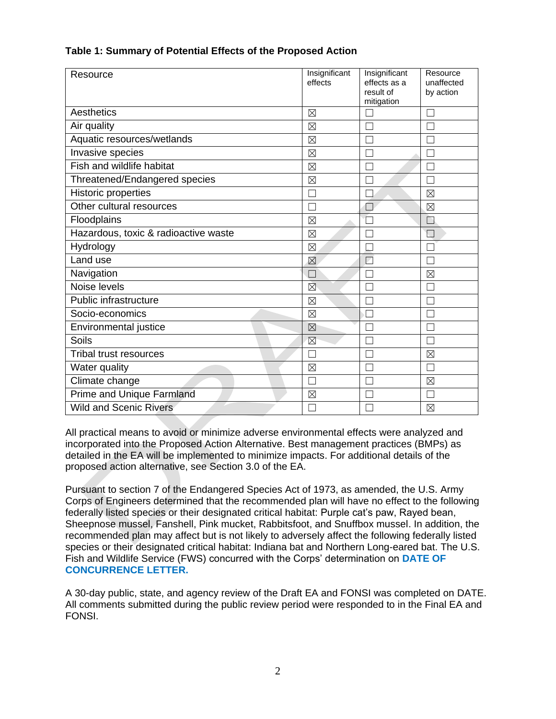| Resource                             | Insignificant<br>effects | Insignificant<br>effects as a<br>result of<br>mitigation | Resource<br>unaffected<br>by action |
|--------------------------------------|--------------------------|----------------------------------------------------------|-------------------------------------|
| Aesthetics                           | $\boxtimes$              |                                                          |                                     |
| Air quality                          | ⊠                        |                                                          |                                     |
| Aquatic resources/wetlands           | $\boxtimes$              |                                                          |                                     |
| Invasive species                     | $\boxtimes$              |                                                          |                                     |
| Fish and wildlife habitat            | $\boxtimes$              |                                                          |                                     |
| Threatened/Endangered species        | $\boxtimes$              |                                                          |                                     |
| <b>Historic properties</b>           |                          |                                                          | $\boxtimes$                         |
| Other cultural resources             |                          |                                                          | $\boxtimes$                         |
| Floodplains                          | $\boxtimes$              |                                                          |                                     |
| Hazardous, toxic & radioactive waste | $\boxtimes$              |                                                          |                                     |
| Hydrology                            | $\boxtimes$              |                                                          |                                     |
| Land use                             | $\boxtimes$              | L.                                                       |                                     |
| Navigation                           | П                        |                                                          | $\boxtimes$                         |
| Noise levels                         | ⊠                        |                                                          | ٦                                   |
| Public infrastructure                | $\boxtimes$              |                                                          |                                     |
| Socio-economics                      | $\boxtimes$              | $\mathbf{I}$                                             |                                     |
| Environmental justice                | $\boxtimes$              |                                                          |                                     |
| Soils                                | $\boxtimes$              |                                                          |                                     |
| <b>Tribal trust resources</b>        | L                        |                                                          | $\boxtimes$                         |
| Water quality                        | $\boxtimes$              |                                                          |                                     |
| Climate change                       |                          |                                                          | $\boxtimes$                         |
| <b>Prime and Unique Farmland</b>     | $\boxtimes$              |                                                          |                                     |
| <b>Wild and Scenic Rivers</b>        |                          | $\overline{\phantom{a}}$                                 | ⊠                                   |

## **Table 1: Summary of Potential Effects of the Proposed Action**

o avoid or minimize adverse e<br>Proposed Action Alternative.<br>Ill be implemented to minimize<br>rnative, see Section 3.0 of the All practical means to avoid or minimize adverse environmental effects were analyzed and incorporated into the Proposed Action Alternative. Best management practices (BMPs) as detailed in the EA will be implemented to minimize impacts. For additional details of the proposed action alternative, see Section 3.0 of the EA.

Pursuant to section 7 of the Endangered Species Act of 1973, as amended, the U.S. Army Corps of Engineers determined that the recommended plan will have no effect to the following federally listed species or their designated critical habitat: Purple cat's paw, Rayed bean, Sheepnose mussel, Fanshell, Pink mucket, Rabbitsfoot, and Snuffbox mussel. In addition, the recommended plan may affect but is not likely to adversely affect the following federally listed species or their designated critical habitat: Indiana bat and Northern Long-eared bat. The U.S. Fish and Wildlife Service (FWS) concurred with the Corps' determination on **DATE OF CONCURRENCE LETTER.** 

A 30-day public, state, and agency review of the Draft EA and FONSI was completed on DATE. All comments submitted during the public review period were responded to in the Final EA and FONSI.